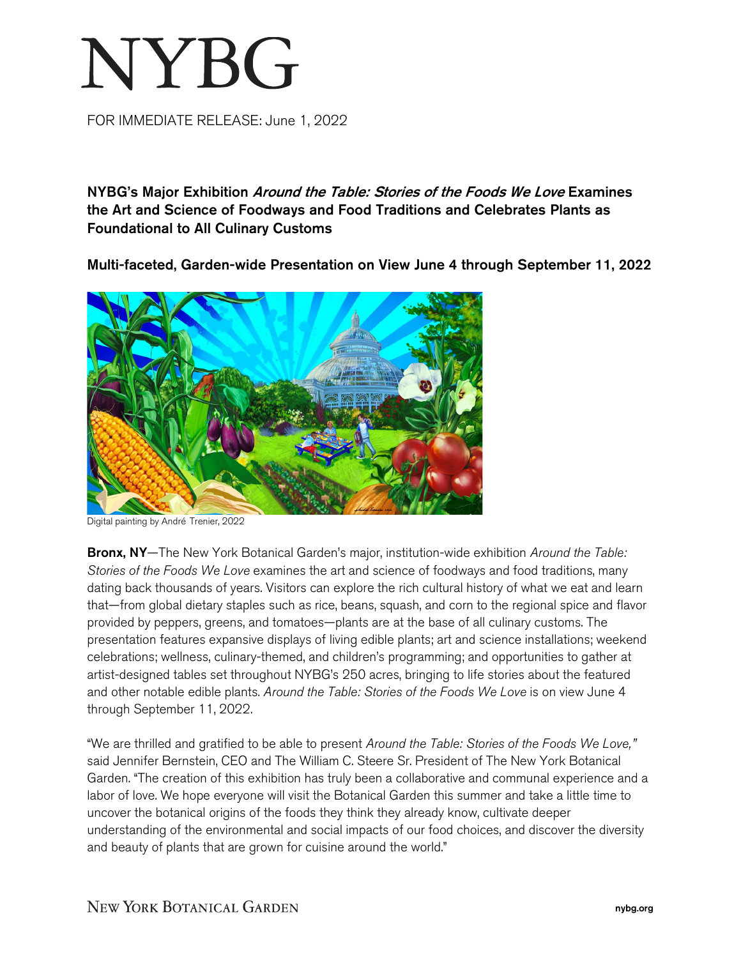# NYBG

FOR IMMEDIATE RELEASE: June 1, 2022

NYBG's Major Exhibition Around the Table: Stories of the Foods We Love Examines the Art and Science of Foodways and Food Traditions and Celebrates Plants as Foundational to All Culinary Customs

Multi-faceted, Garden-wide Presentation on View June 4 through September 11, 2022



Digital painting by André Trenier, 2022

Bronx, NY—The New York Botanical Garden's major, institution-wide exhibition *Around the Table: Stories of the Foods We Love* examines the art and science of foodways and food traditions, many dating back thousands of years. Visitors can explore the rich cultural history of what we eat and learn that—from global dietary staples such as rice, beans, squash, and corn to the regional spice and flavor provided by peppers, greens, and tomatoes—plants are at the base of all culinary customs. The presentation features expansive displays of living edible plants; art and science installations; weekend celebrations; wellness, culinary-themed, and children's programming; and opportunities to gather at artist-designed tables set throughout NYBG's 250 acres, bringing to life stories about the featured and other notable edible plants. *Around the Table: Stories of the Foods We Love* is on view June 4 through September 11, 2022.

"We are thrilled and gratified to be able to present *Around the Table: Stories of the Foods We Love,"*  said Jennifer Bernstein, CEO and The William C. Steere Sr. President of The New York Botanical Garden. "The creation of this exhibition has truly been a collaborative and communal experience and a labor of love. We hope everyone will visit the Botanical Garden this summer and take a little time to uncover the botanical origins of the foods they think they already know, cultivate deeper understanding of the environmental and social impacts of our food choices, and discover the diversity and beauty of plants that are grown for cuisine around the world."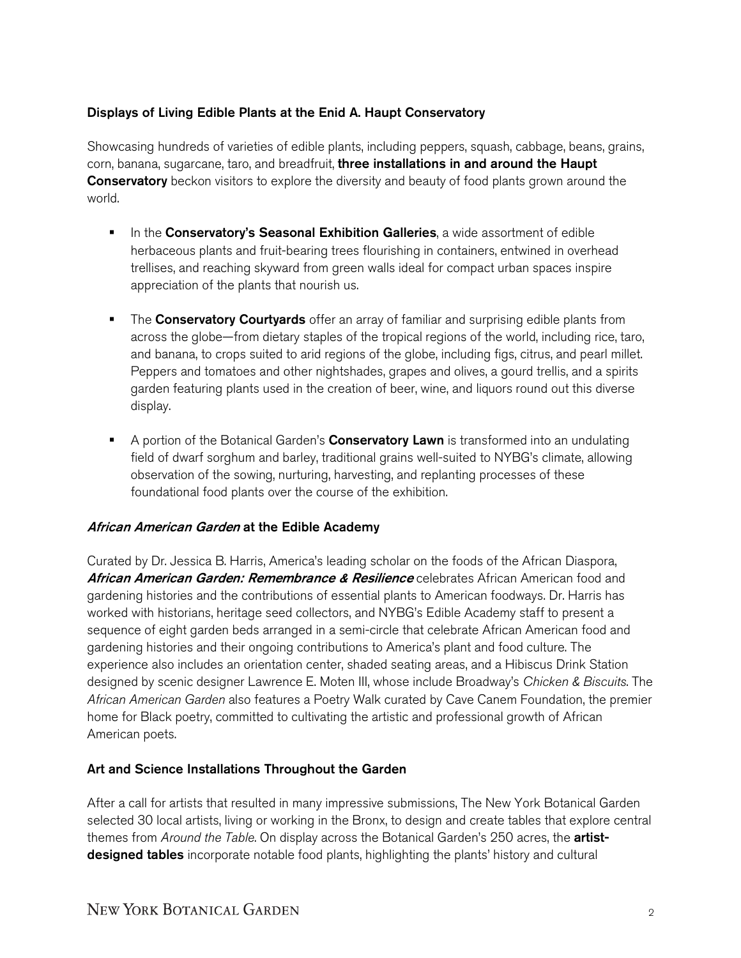## Displays of Living Edible Plants at the Enid A. Haupt Conservatory

Showcasing hundreds of varieties of edible plants, including peppers, squash, cabbage, beans, grains, corn, banana, sugarcane, taro, and breadfruit, three installations in and around the Haupt **Conservatory** beckon visitors to explore the diversity and beauty of food plants grown around the world.

- In the Conservatory's Seasonal Exhibition Galleries, a wide assortment of edible herbaceous plants and fruit-bearing trees flourishing in containers, entwined in overhead trellises, and reaching skyward from green walls ideal for compact urban spaces inspire appreciation of the plants that nourish us.
- The Conservatory Courtyards offer an array of familiar and surprising edible plants from across the globe—from dietary staples of the tropical regions of the world, including rice, taro, and banana, to crops suited to arid regions of the globe, including figs, citrus, and pearl millet. Peppers and tomatoes and other nightshades, grapes and olives, a gourd trellis, and a spirits garden featuring plants used in the creation of beer, wine, and liquors round out this diverse display.
- A portion of the Botanical Garden's **Conservatory Lawn** is transformed into an undulating field of dwarf sorghum and barley, traditional grains well-suited to NYBG's climate, allowing observation of the sowing, nurturing, harvesting, and replanting processes of these foundational food plants over the course of the exhibition.

## African American Garden at the Edible Academy

Curated by Dr. Jessica B. Harris, America's leading scholar on the foods of the African Diaspora, African American Garden: Remembrance & Resilience celebrates African American food and gardening histories and the contributions of essential plants to American foodways. Dr. Harris has worked with historians, heritage seed collectors, and NYBG's Edible Academy staff to present a sequence of eight garden beds arranged in a semi-circle that celebrate African American food and gardening histories and their ongoing contributions to America's plant and food culture. The experience also includes an orientation center, shaded seating areas, and a Hibiscus Drink Station designed by scenic designer Lawrence E. Moten III, whose include Broadway's *Chicken & Biscuits*. The *African American Garden* also features a Poetry Walk curated by Cave Canem Foundation, the premier home for Black poetry, committed to cultivating the artistic and professional growth of African American poets.

## Art and Science Installations Throughout the Garden

After a call for artists that resulted in many impressive submissions, The New York Botanical Garden selected 30 local artists, living or working in the Bronx, to design and create tables that explore central themes from *Around the Table*. On display across the Botanical Garden's 250 acres, the artistdesigned tables incorporate notable food plants, highlighting the plants' history and cultural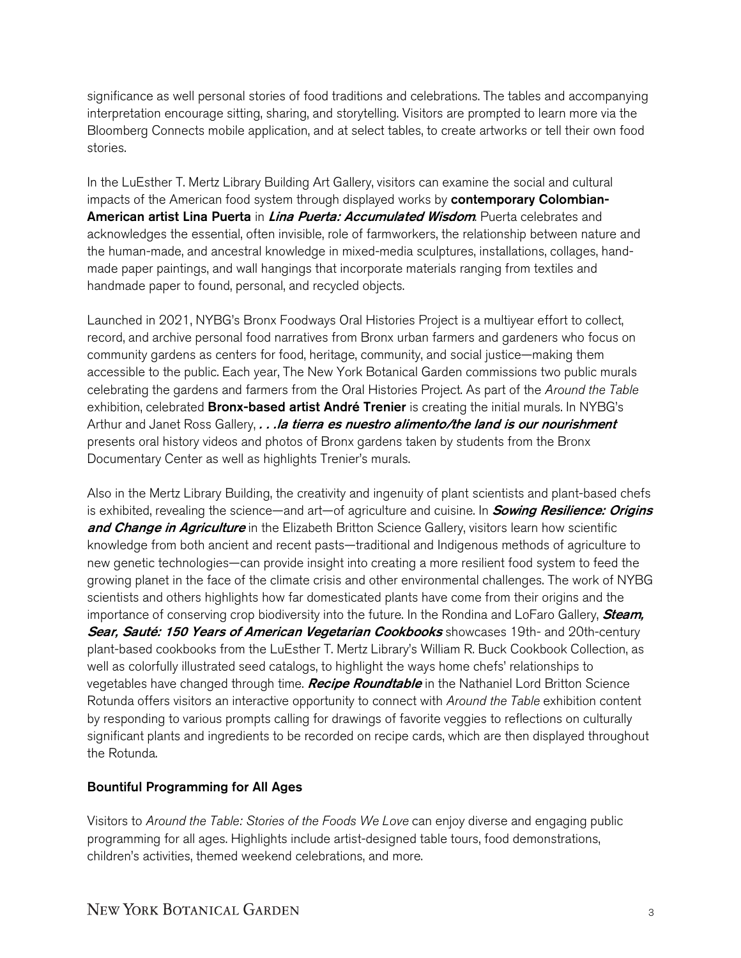significance as well personal stories of food traditions and celebrations. The tables and accompanying interpretation encourage sitting, sharing, and storytelling. Visitors are prompted to learn more via the Bloomberg Connects mobile application, and at select tables, to create artworks or tell their own food stories.

In the LuEsther T. Mertz Library Building Art Gallery, visitors can examine the social and cultural impacts of the American food system through displayed works by contemporary Colombian-American artist Lina Puerta in *Lina Puerta: Accumulated Wisdom*. Puerta celebrates and acknowledges the essential, often invisible, role of farmworkers, the relationship between nature and the human-made, and ancestral knowledge in mixed-media sculptures, installations, collages, handmade paper paintings, and wall hangings that incorporate materials ranging from textiles and handmade paper to found, personal, and recycled objects.

Launched in 2021, NYBG's Bronx Foodways Oral Histories Project is a multiyear effort to collect, record, and archive personal food narratives from Bronx urban farmers and gardeners who focus on community gardens as centers for food, heritage, community, and social justice—making them accessible to the public. Each year, The New York Botanical Garden commissions two public murals celebrating the gardens and farmers from the Oral Histories Project. As part of the *Around the Table* exhibition, celebrated **Bronx-based artist André Trenier** is creating the initial murals. In NYBG's Arthur and Janet Ross Gallery, . . . la tierra es nuestro alimento/the land is our nourishment presents oral history videos and photos of Bronx gardens taken by students from the Bronx Documentary Center as well as highlights Trenier's murals.

Also in the Mertz Library Building, the creativity and ingenuity of plant scientists and plant-based chefs is exhibited, revealing the science—and art—of agriculture and cuisine. In **Sowing Resilience: Origins** and Change in Agriculture in the Elizabeth Britton Science Gallery, visitors learn how scientific knowledge from both ancient and recent pasts—traditional and Indigenous methods of agriculture to new genetic technologies—can provide insight into creating a more resilient food system to feed the growing planet in the face of the climate crisis and other environmental challenges. The work of NYBG scientists and others highlights how far domesticated plants have come from their origins and the importance of conserving crop biodiversity into the future. In the Rondina and LoFaro Gallery, **Steam**, Sear, Sauté: 150 Years of American Vegetarian Cookbooks showcases 19th- and 20th-century plant-based cookbooks from the LuEsther T. Mertz Library's William R. Buck Cookbook Collection, as well as colorfully illustrated seed catalogs, to highlight the ways home chefs' relationships to vegetables have changed through time. **Recipe Roundtable** in the Nathaniel Lord Britton Science Rotunda offers visitors an interactive opportunity to connect with *Around the Table* exhibition content by responding to various prompts calling for drawings of favorite veggies to reflections on culturally significant plants and ingredients to be recorded on recipe cards, which are then displayed throughout the Rotunda.

# Bountiful Programming for All Ages

Visitors to *Around the Table: Stories of the Foods We Love* can enjoy diverse and engaging public programming for all ages. Highlights include artist-designed table tours, food demonstrations, children's activities, themed weekend celebrations, and more.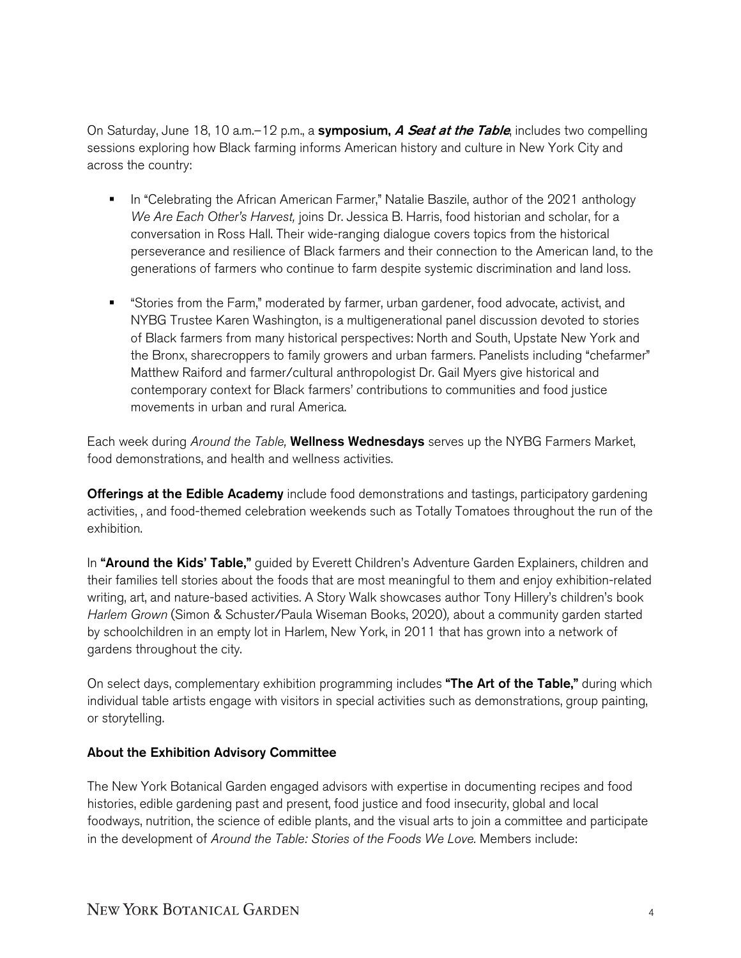On Saturday, June 18, 10 a.m.–12 p.m., a **symposium,** *A Seat at the Table*, includes two compelling sessions exploring how Black farming informs American history and culture in New York City and across the country:

- **IF** In "Celebrating the African American Farmer," Natalie Baszile, author of the 2021 anthology *We Are Each Other's Harvest,* joins Dr. Jessica B. Harris, food historian and scholar, for a conversation in Ross Hall. Their wide-ranging dialogue covers topics from the historical perseverance and resilience of Black farmers and their connection to the American land, to the generations of farmers who continue to farm despite systemic discrimination and land loss.
- "Stories from the Farm," moderated by farmer, urban gardener, food advocate, activist, and NYBG Trustee Karen Washington, is a multigenerational panel discussion devoted to stories of Black farmers from many historical perspectives: North and South, Upstate New York and the Bronx, sharecroppers to family growers and urban farmers. Panelists including "chefarmer" Matthew Raiford and farmer/cultural anthropologist Dr. Gail Myers give historical and contemporary context for Black farmers' contributions to communities and food justice movements in urban and rural America.

Each week during *Around the Table,* Wellness Wednesdays serves up the NYBG Farmers Market, food demonstrations, and health and wellness activities.

**Offerings at the Edible Academy** include food demonstrations and tastings, participatory gardening activities, , and food-themed celebration weekends such as Totally Tomatoes throughout the run of the exhibition.

In "Around the Kids' Table," guided by Everett Children's Adventure Garden Explainers, children and their families tell stories about the foods that are most meaningful to them and enjoy exhibition-related writing, art, and nature-based activities. A Story Walk showcases author Tony Hillery's children's book *Harlem Grown* (Simon & Schuster/Paula Wiseman Books, 2020)*,* about a community garden started by schoolchildren in an empty lot in Harlem, New York, in 2011 that has grown into a network of gardens throughout the city.

On select days, complementary exhibition programming includes "The Art of the Table," during which individual table artists engage with visitors in special activities such as demonstrations, group painting, or storytelling.

## About the Exhibition Advisory Committee

The New York Botanical Garden engaged advisors with expertise in documenting recipes and food histories, edible gardening past and present, food justice and food insecurity, global and local foodways, nutrition, the science of edible plants, and the visual arts to join a committee and participate in the development of *Around the Table: Stories of the Foods We Love.* Members include: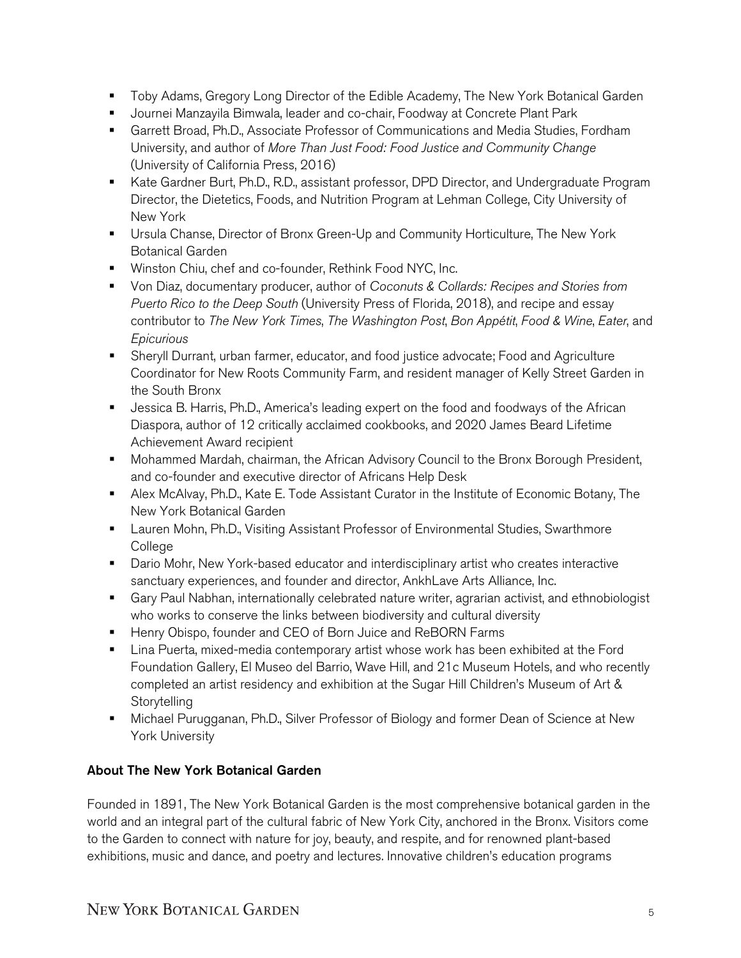- **The Toby Adams, Gregory Long Director of the Edible Academy, The New York Botanical Garden**
- **Journei Manzayila Bimwala, leader and co-chair, Foodway at Concrete Plant Park**
- Garrett Broad, Ph.D., Associate Professor of Communications and Media Studies, Fordham University, and author of *More Than Just Food: Food Justice and Community Change*  (University of California Press, 2016)
- Kate Gardner Burt, Ph.D., R.D., assistant professor, DPD Director, and Undergraduate Program Director, the Dietetics, Foods, and Nutrition Program at Lehman College, City University of New York
- Ursula Chanse, Director of Bronx Green-Up and Community Horticulture, The New York Botanical Garden
- **Winston Chiu, chef and co-founder, Rethink Food NYC, Inc.**
- Von Diaz, documentary producer, author of *Coconuts & Collards: Recipes and Stories from Puerto Rico to the Deep South* (University Press of Florida, 2018), and recipe and essay contributor to *The New York Times*, *The Washington Post*, *Bon Appétit*, *Food & Wine*, *Eater*, and *Epicurious*
- Sheryll Durrant, urban farmer, educator, and food justice advocate; Food and Agriculture Coordinator for New Roots Community Farm, and resident manager of Kelly Street Garden in the South Bronx
- **Jessica B. Harris, Ph.D., America's leading expert on the food and foodways of the African** Diaspora, author of 12 critically acclaimed cookbooks, and 2020 James Beard Lifetime Achievement Award recipient
- **Mohammed Mardah, chairman, the African Advisory Council to the Bronx Borough President,** and co-founder and executive director of Africans Help Desk
- Alex McAlvay, Ph.D., Kate E. Tode Assistant Curator in the Institute of Economic Botany, The New York Botanical Garden
- **EXECT** Lauren Mohn, Ph.D., Visiting Assistant Professor of Environmental Studies, Swarthmore College
- **Dario Mohr, New York-based educator and interdisciplinary artist who creates interactive** sanctuary experiences, and founder and director, AnkhLave Arts Alliance, Inc.
- Gary Paul Nabhan, internationally celebrated nature writer, agrarian activist, and ethnobiologist who works to conserve the links between biodiversity and cultural diversity
- **Henry Obispo, founder and CEO of Born Juice and ReBORN Farms**
- **Example 2** Lina Puerta, mixed-media contemporary artist whose work has been exhibited at the Ford Foundation Gallery, El Museo del Barrio, Wave Hill, and 21c Museum Hotels, and who recently completed an artist residency and exhibition at the Sugar Hill Children's Museum of Art & **Storytelling**
- Michael Purugganan, Ph.D., Silver Professor of Biology and former Dean of Science at New York University

# About The New York Botanical Garden

Founded in 1891, The New York Botanical Garden is the most comprehensive botanical garden in the world and an integral part of the cultural fabric of New York City, anchored in the Bronx. Visitors come to the Garden to connect with nature for joy, beauty, and respite, and for renowned plant-based exhibitions, music and dance, and poetry and lectures. Innovative children's education programs